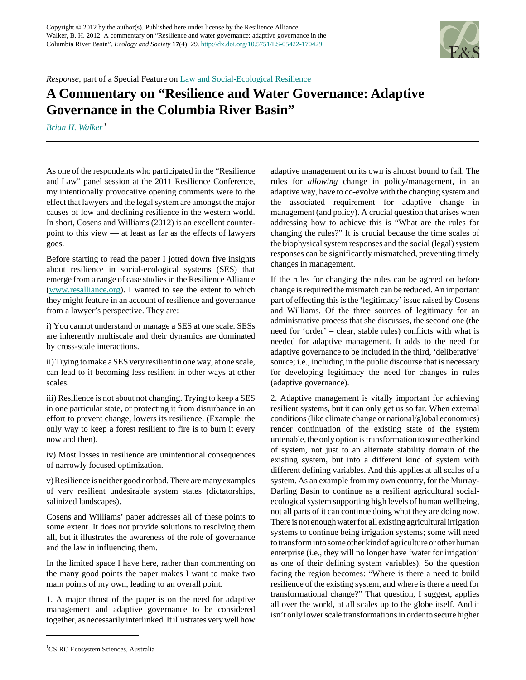

*Response*, part of a Special Feature on [Law and Social-Ecological Resilience](http://www.ecologyandsociety.org/viewissue.php?sf=78) 

## **A Commentary on "Resilience and Water Governance: Adaptive Governance in the Columbia River Basin"**

*[Brian H. Walker](mailto:Brian.Walker@csiro.au)<sup>1</sup>*

As one of the respondents who participated in the "Resilience and Law" panel session at the 2011 Resilience Conference, my intentionally provocative opening comments were to the effect that lawyers and the legal system are amongst the major causes of low and declining resilience in the western world. In short, Cosens and Williams (2012) is an excellent counterpoint to this view — at least as far as the effects of lawyers goes.

Before starting to read the paper I jotted down five insights about resilience in social-ecological systems (SES) that emerge from a range of case studies in the Resilience Alliance [\(www.resalliance.org](www.resalliance.org)). I wanted to see the extent to which they might feature in an account of resilience and governance from a lawyer's perspective. They are:

i) You cannot understand or manage a SES at one scale. SESs are inherently multiscale and their dynamics are dominated by cross-scale interactions.

ii) Trying to make a SES very resilient in one way, at one scale, can lead to it becoming less resilient in other ways at other scales.

iii) Resilience is not about not changing. Trying to keep a SES in one particular state, or protecting it from disturbance in an effort to prevent change, lowers its resilience. (Example: the only way to keep a forest resilient to fire is to burn it every now and then).

iv) Most losses in resilience are unintentional consequences of narrowly focused optimization.

v) Resilience is neither good nor bad. There are many examples of very resilient undesirable system states (dictatorships, salinized landscapes).

Cosens and Williams' paper addresses all of these points to some extent. It does not provide solutions to resolving them all, but it illustrates the awareness of the role of governance and the law in influencing them.

In the limited space I have here, rather than commenting on the many good points the paper makes I want to make two main points of my own, leading to an overall point.

1. A major thrust of the paper is on the need for adaptive management and adaptive governance to be considered together, as necessarily interlinked. It illustrates very well how

<sup>1</sup>CSIRO Ecosystem Sciences, Australia

adaptive management on its own is almost bound to fail. The rules for *allowing* change in policy/management, in an adaptive way, have to co-evolve with the changing system and the associated requirement for adaptive change in management (and policy). A crucial question that arises when addressing how to achieve this is "What are the rules for changing the rules?" It is crucial because the time scales of the biophysical system responses and the social (legal) system responses can be significantly mismatched, preventing timely changes in management.

If the rules for changing the rules can be agreed on before change is required the mismatch can be reduced. An important part of effecting this is the 'legitimacy' issue raised by Cosens and Williams. Of the three sources of legitimacy for an administrative process that she discusses, the second one (the need for 'order' – clear, stable rules) conflicts with what is needed for adaptive management. It adds to the need for adaptive governance to be included in the third, 'deliberative' source; i.e., including in the public discourse that is necessary for developing legitimacy the need for changes in rules (adaptive governance).

2. Adaptive management is vitally important for achieving resilient systems, but it can only get us so far. When external conditions (like climate change or national/global economics) render continuation of the existing state of the system untenable, the only option is transformation to some other kind of system, not just to an alternate stability domain of the existing system, but into a different kind of system with different defining variables. And this applies at all scales of a system. As an example from my own country, for the Murray-Darling Basin to continue as a resilient agricultural socialecological system supporting high levels of human wellbeing, not all parts of it can continue doing what they are doing now. There is not enough water for all existing agricultural irrigation systems to continue being irrigation systems; some will need to transform into some other kind of agriculture or other human enterprise (i.e., they will no longer have 'water for irrigation' as one of their defining system variables). So the question facing the region becomes: "Where is there a need to build resilience of the existing system, and where is there a need for transformational change?" That question, I suggest, applies all over the world, at all scales up to the globe itself. And it isn't only lower scale transformations in order to secure higher